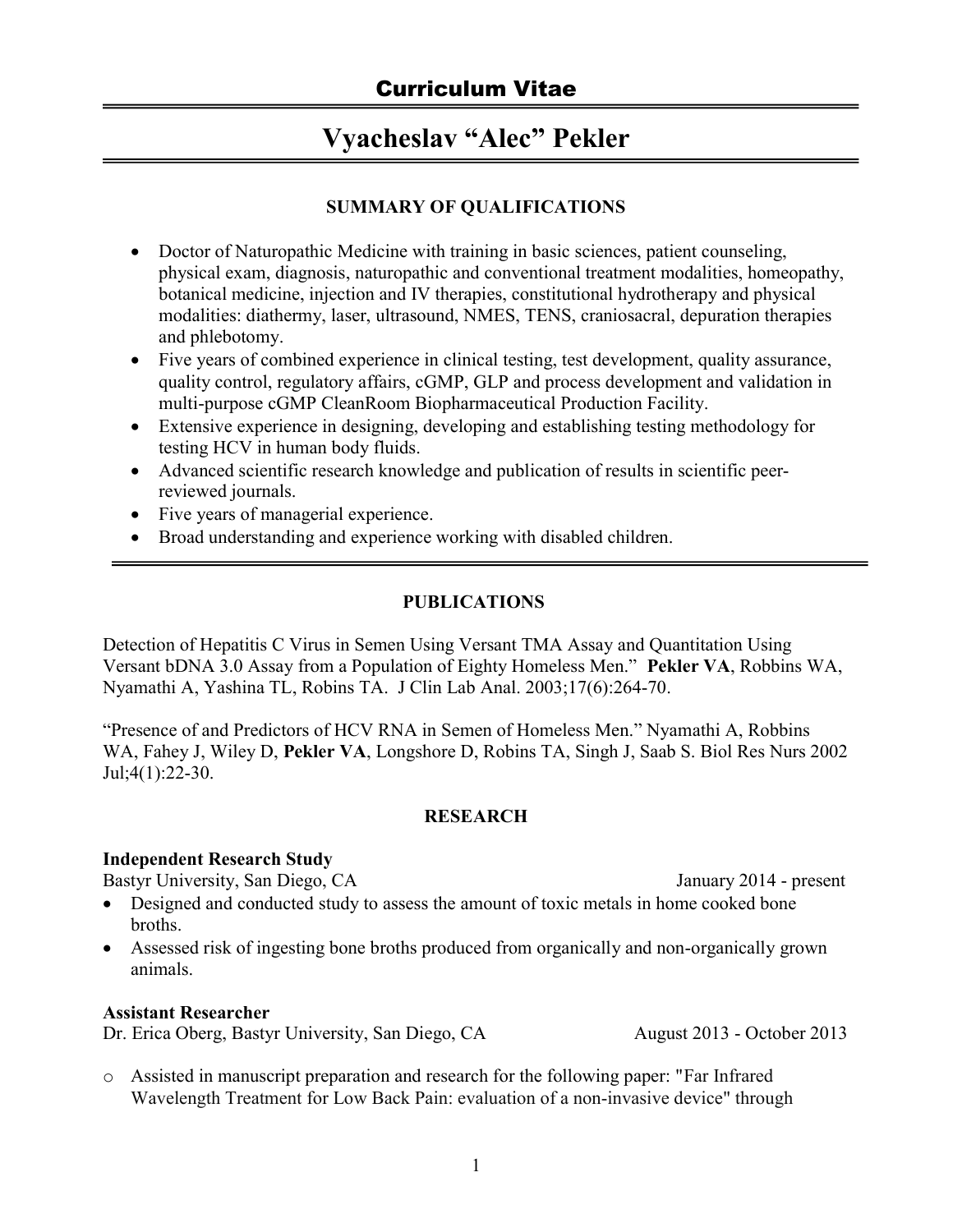# Vyacheslav "Alec" Pekler

# SUMMARY OF QUALIFICATIONS

- Doctor of Naturopathic Medicine with training in basic sciences, patient counseling, physical exam, diagnosis, naturopathic and conventional treatment modalities, homeopathy, botanical medicine, injection and IV therapies, constitutional hydrotherapy and physical modalities: diathermy, laser, ultrasound, NMES, TENS, craniosacral, depuration therapies and phlebotomy.
- Five years of combined experience in clinical testing, test development, quality assurance, quality control, regulatory affairs, cGMP, GLP and process development and validation in multi-purpose cGMP CleanRoom Biopharmaceutical Production Facility.
- Extensive experience in designing, developing and establishing testing methodology for testing HCV in human body fluids.
- Advanced scientific research knowledge and publication of results in scientific peerreviewed journals.
- Five years of managerial experience.
- Broad understanding and experience working with disabled children.

# PUBLICATIONS

Detection of Hepatitis C Virus in Semen Using Versant TMA Assay and Quantitation Using Versant bDNA 3.0 Assay from a Population of Eighty Homeless Men." Pekler VA, Robbins WA, Nyamathi A, Yashina TL, Robins TA. J Clin Lab Anal. 2003;17(6):264-70.

"Presence of and Predictors of HCV RNA in Semen of Homeless Men." Nyamathi A, Robbins WA, Fahey J, Wiley D, Pekler VA, Longshore D, Robins TA, Singh J, Saab S. Biol Res Nurs 2002 Jul;4(1):22-30.

# **RESEARCH**

### Independent Research Study

Bastyr University, San Diego, CA January 2014 - present

- Designed and conducted study to assess the amount of toxic metals in home cooked bone broths.
- Assessed risk of ingesting bone broths produced from organically and non-organically grown animals.

### Assistant Researcher

Dr. Erica Oberg, Bastyr University, San Diego, CA August 2013 - October 2013

o Assisted in manuscript preparation and research for the following paper: "Far Infrared Wavelength Treatment for Low Back Pain: evaluation of a non-invasive device" through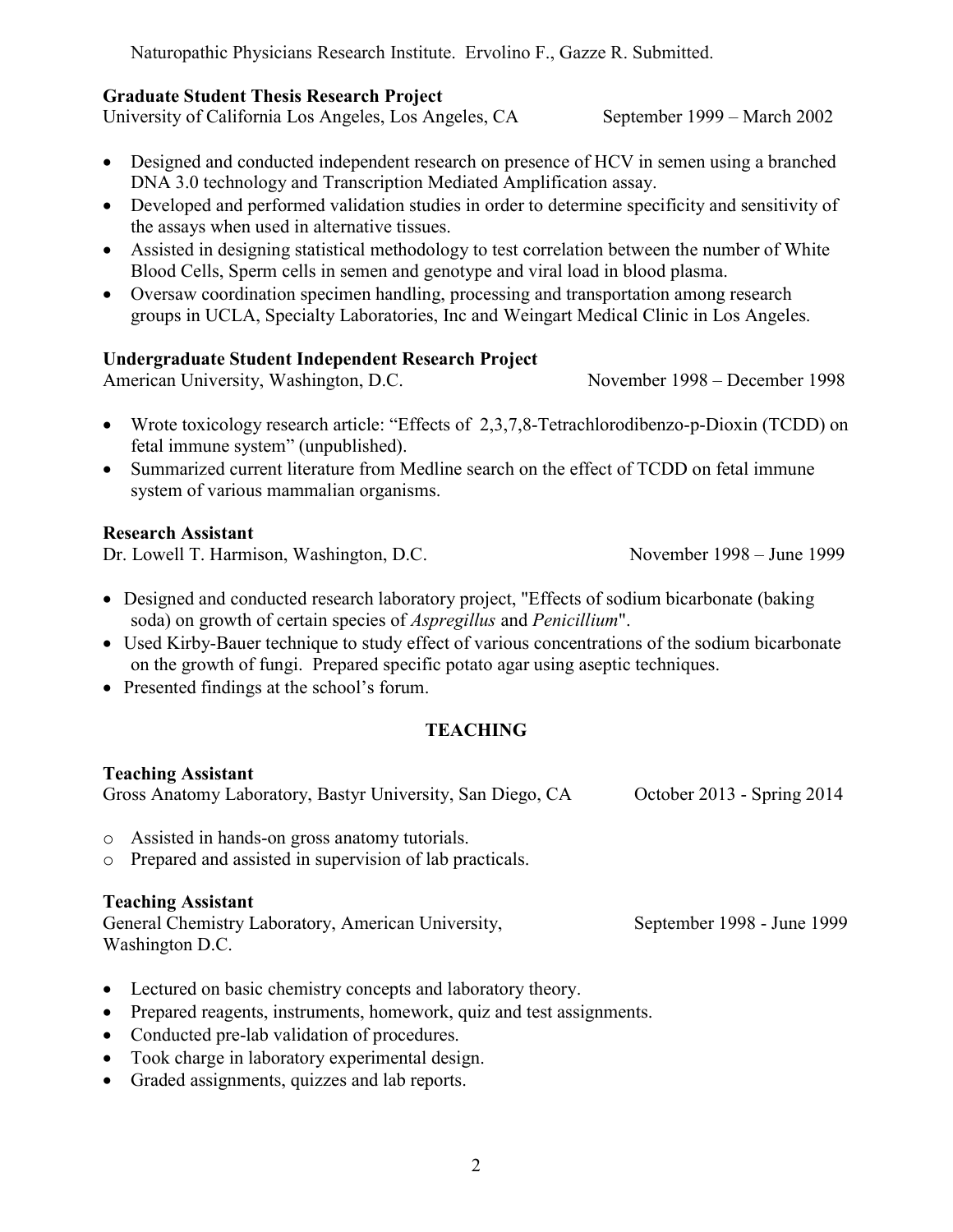Naturopathic Physicians Research Institute. Ervolino F., Gazze R. Submitted.

# Graduate Student Thesis Research Project

University of California Los Angeles, Los Angeles, CA September 1999 – March 2002

- Designed and conducted independent research on presence of HCV in semen using a branched DNA 3.0 technology and Transcription Mediated Amplification assay.
- Developed and performed validation studies in order to determine specificity and sensitivity of the assays when used in alternative tissues.
- Assisted in designing statistical methodology to test correlation between the number of White Blood Cells, Sperm cells in semen and genotype and viral load in blood plasma.
- Oversaw coordination specimen handling, processing and transportation among research groups in UCLA, Specialty Laboratories, Inc and Weingart Medical Clinic in Los Angeles.

### Undergraduate Student Independent Research Project

American University, Washington, D.C. November 1998 – December 1998

- Wrote toxicology research article: "Effects of 2,3,7,8-Tetrachlorodibenzo-p-Dioxin (TCDD) on fetal immune system" (unpublished).
- Summarized current literature from Medline search on the effect of TCDD on fetal immune system of various mammalian organisms.

### Research Assistant

Dr. Lowell T. Harmison, Washington, D.C. November 1998 – June 1999

- Designed and conducted research laboratory project, "Effects of sodium bicarbonate (baking soda) on growth of certain species of *Aspregillus* and *Penicillium*".
- Used Kirby-Bauer technique to study effect of various concentrations of the sodium bicarbonate on the growth of fungi. Prepared specific potato agar using aseptic techniques.
- Presented findings at the school's forum.

# **TEACHING**

### Teaching Assistant

Gross Anatomy Laboratory, Bastyr University, San Diego, CA October 2013 - Spring 2014

- o Assisted in hands-on gross anatomy tutorials.
- o Prepared and assisted in supervision of lab practicals.

### Teaching Assistant

General Chemistry Laboratory, American University, September 1998 - June 1999 Washington D.C.

- Lectured on basic chemistry concepts and laboratory theory.
- Prepared reagents, instruments, homework, quiz and test assignments.
- Conducted pre-lab validation of procedures.
- Took charge in laboratory experimental design.
- Graded assignments, quizzes and lab reports.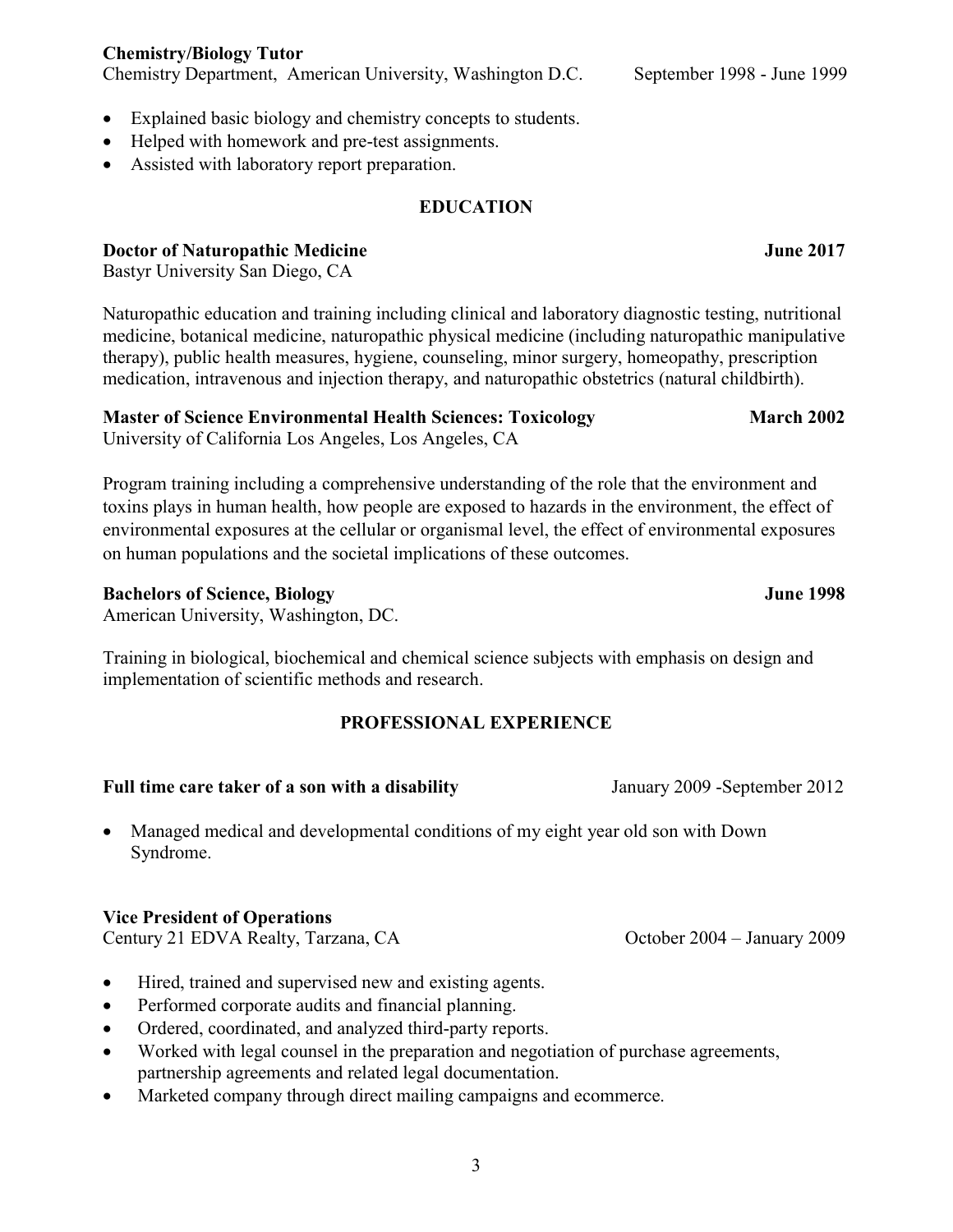Chemistry/Biology Tutor

Chemistry Department, American University, Washington D.C. September 1998 - June 1999

- Explained basic biology and chemistry concepts to students.
- Helped with homework and pre-test assignments.
- Assisted with laboratory report preparation.

# EDUCATION

# **Doctor of Naturopathic Medicine Server Access 2017** June 2017

Bastyr University San Diego, CA

Naturopathic education and training including clinical and laboratory diagnostic testing, nutritional medicine, botanical medicine, naturopathic physical medicine (including naturopathic manipulative therapy), public health measures, hygiene, counseling, minor surgery, homeopathy, prescription medication, intravenous and injection therapy, and naturopathic obstetrics (natural childbirth).

# Master of Science Environmental Health Sciences: Toxicology March 2002

University of California Los Angeles, Los Angeles, CA

Program training including a comprehensive understanding of the role that the environment and toxins plays in human health, how people are exposed to hazards in the environment, the effect of environmental exposures at the cellular or organismal level, the effect of environmental exposures on human populations and the societal implications of these outcomes.

# **Bachelors of Science, Biology Science According to the Control of Science, Biology Science According to the UPS**

American University, Washington, DC.

Training in biological, biochemical and chemical science subjects with emphasis on design and implementation of scientific methods and research.

# PROFESSIONAL EXPERIENCE

# Full time care taker of a son with a disability January 2009 -September 2012

 Managed medical and developmental conditions of my eight year old son with Down Syndrome.

# Vice President of Operations

Century 21 EDVA Realty, Tarzana, CA October 2004 – January 2009

- Hired, trained and supervised new and existing agents.
- Performed corporate audits and financial planning.

3

- Ordered, coordinated, and analyzed third-party reports.
- Worked with legal counsel in the preparation and negotiation of purchase agreements, partnership agreements and related legal documentation.
- Marketed company through direct mailing campaigns and ecommerce.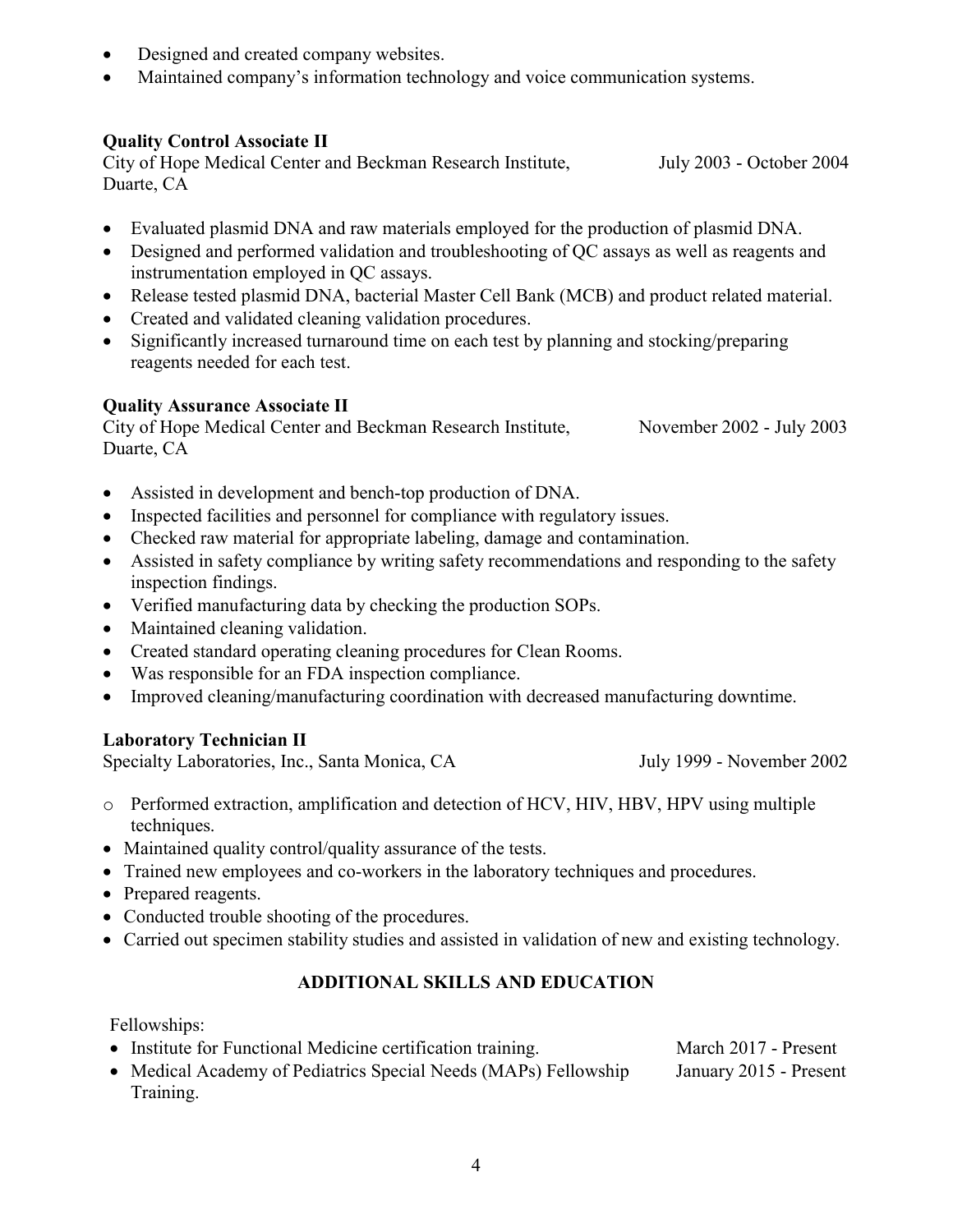- Designed and created company websites.
- Maintained company's information technology and voice communication systems.

# Quality Control Associate II

City of Hope Medical Center and Beckman Research Institute, July 2003 - October 2004 Duarte, CA

- Evaluated plasmid DNA and raw materials employed for the production of plasmid DNA.
- Designed and performed validation and troubleshooting of QC assays as well as reagents and instrumentation employed in QC assays.
- Release tested plasmid DNA, bacterial Master Cell Bank (MCB) and product related material.
- Created and validated cleaning validation procedures.
- Significantly increased turnaround time on each test by planning and stocking/preparing reagents needed for each test.

# Quality Assurance Associate II

City of Hope Medical Center and Beckman Research Institute, November 2002 - July 2003 Duarte, CA

- Assisted in development and bench-top production of DNA.
- Inspected facilities and personnel for compliance with regulatory issues.
- Checked raw material for appropriate labeling, damage and contamination.
- Assisted in safety compliance by writing safety recommendations and responding to the safety inspection findings.
- Verified manufacturing data by checking the production SOPs.
- Maintained cleaning validation.
- Created standard operating cleaning procedures for Clean Rooms.
- Was responsible for an FDA inspection compliance.
- Improved cleaning/manufacturing coordination with decreased manufacturing downtime.

# Laboratory Technician II

Specialty Laboratories, Inc., Santa Monica, CA July 1999 - November 2002

- o Performed extraction, amplification and detection of HCV, HIV, HBV, HPV using multiple techniques.
- Maintained quality control/quality assurance of the tests.
- Trained new employees and co-workers in the laboratory techniques and procedures.
- Prepared reagents.
- Conducted trouble shooting of the procedures.
- Carried out specimen stability studies and assisted in validation of new and existing technology.

# ADDITIONAL SKILLS AND EDUCATION

Fellowships:

• Institute for Functional Medicine certification training. March 2017 - Present

• Medical Academy of Pediatrics Special Needs (MAPs) Fellowship January 2015 - Present Training.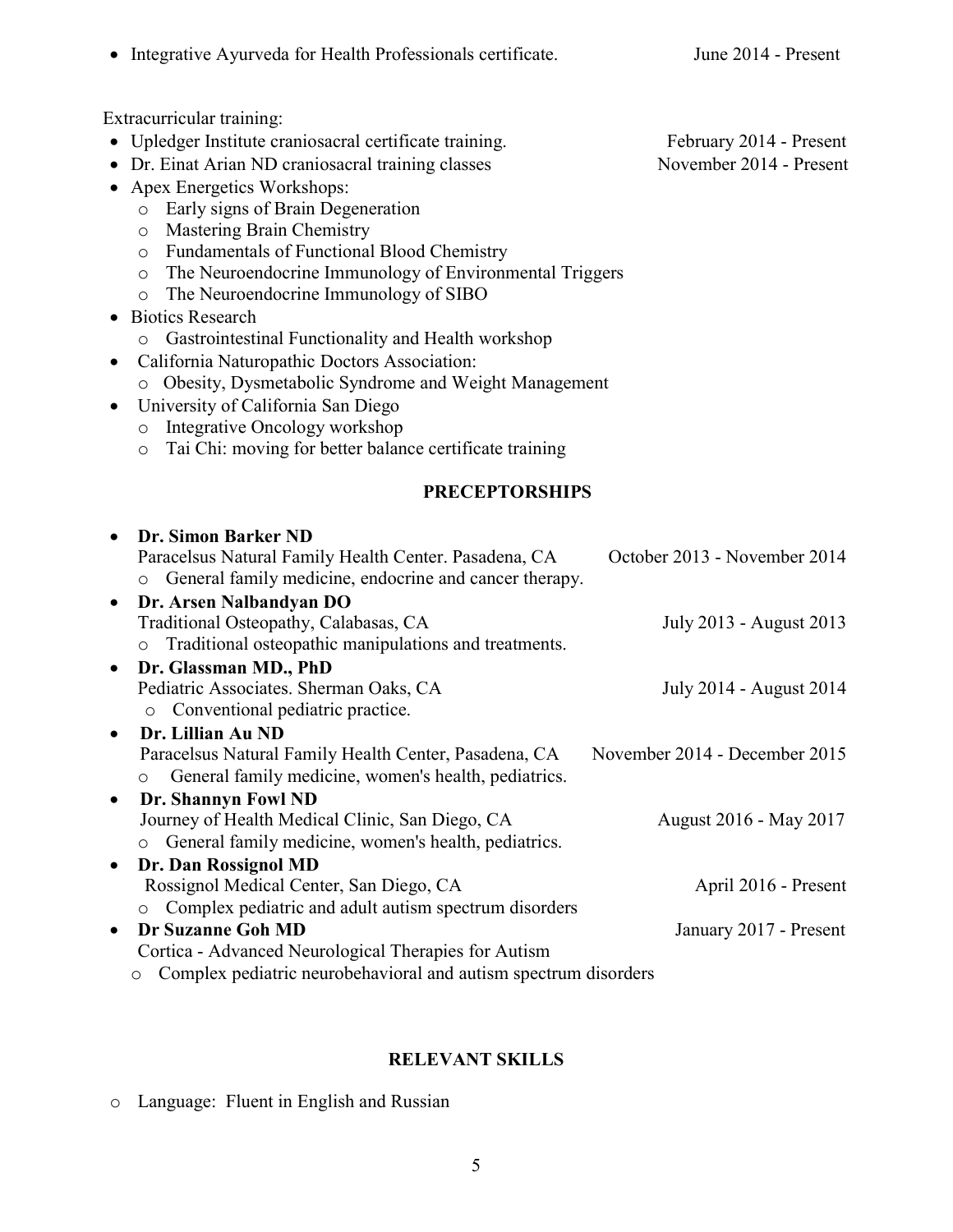• Integrative Ayurveda for Health Professionals certificate. June 2014 - Present

Extracurricular training:

- Upledger Institute craniosacral certificate training. February 2014 Present
- Dr. Einat Arian ND craniosacral training classes November 2014 Present
- Apex Energetics Workshops:
	- o Early signs of Brain Degeneration
	- o Mastering Brain Chemistry
	- o Fundamentals of Functional Blood Chemistry
	- o The Neuroendocrine Immunology of Environmental Triggers
	- o The Neuroendocrine Immunology of SIBO
- Biotics Research
	- o Gastrointestinal Functionality and Health workshop
- California Naturopathic Doctors Association:
	- o Obesity, Dysmetabolic Syndrome and Weight Management
- University of California San Diego
	- o Integrative Oncology workshop
	- o Tai Chi: moving for better balance certificate training

# PRECEPTORSHIPS

|           | <b>Dr. Simon Barker ND</b>                                       |                               |  |  |
|-----------|------------------------------------------------------------------|-------------------------------|--|--|
|           | Paracelsus Natural Family Health Center. Pasadena, CA            | October 2013 - November 2014  |  |  |
|           | General family medicine, endocrine and cancer therapy.           |                               |  |  |
| $\bullet$ | Dr. Arsen Nalbandyan DO                                          |                               |  |  |
|           | Traditional Osteopathy, Calabasas, CA                            | July 2013 - August 2013       |  |  |
|           | Traditional osteopathic manipulations and treatments.            |                               |  |  |
| $\bullet$ | Dr. Glassman MD., PhD                                            |                               |  |  |
|           | Pediatric Associates. Sherman Oaks, CA                           | July 2014 - August 2014       |  |  |
|           | o Conventional pediatric practice.                               |                               |  |  |
| $\bullet$ | Dr. Lillian Au ND                                                |                               |  |  |
|           | Paracelsus Natural Family Health Center, Pasadena, CA            | November 2014 - December 2015 |  |  |
|           | General family medicine, women's health, pediatrics.<br>$\circ$  |                               |  |  |
| $\bullet$ | Dr. Shannyn Fowl ND                                              |                               |  |  |
|           | Journey of Health Medical Clinic, San Diego, CA                  | August 2016 - May 2017        |  |  |
|           | General family medicine, women's health, pediatrics.             |                               |  |  |
| $\bullet$ | Dr. Dan Rossignol MD                                             |                               |  |  |
|           | Rossignol Medical Center, San Diego, CA                          | April 2016 - Present          |  |  |
|           | Complex pediatric and adult autism spectrum disorders<br>$\circ$ |                               |  |  |
| $\bullet$ | <b>Dr Suzanne Goh MD</b>                                         | January 2017 - Present        |  |  |
|           | Cortica - Advanced Neurological Therapies for Autism             |                               |  |  |
|           | Complex pediatric neurobehavioral and autism spectrum disorders  |                               |  |  |
|           |                                                                  |                               |  |  |

# RELEVANT SKILLS

o Language: Fluent in English and Russian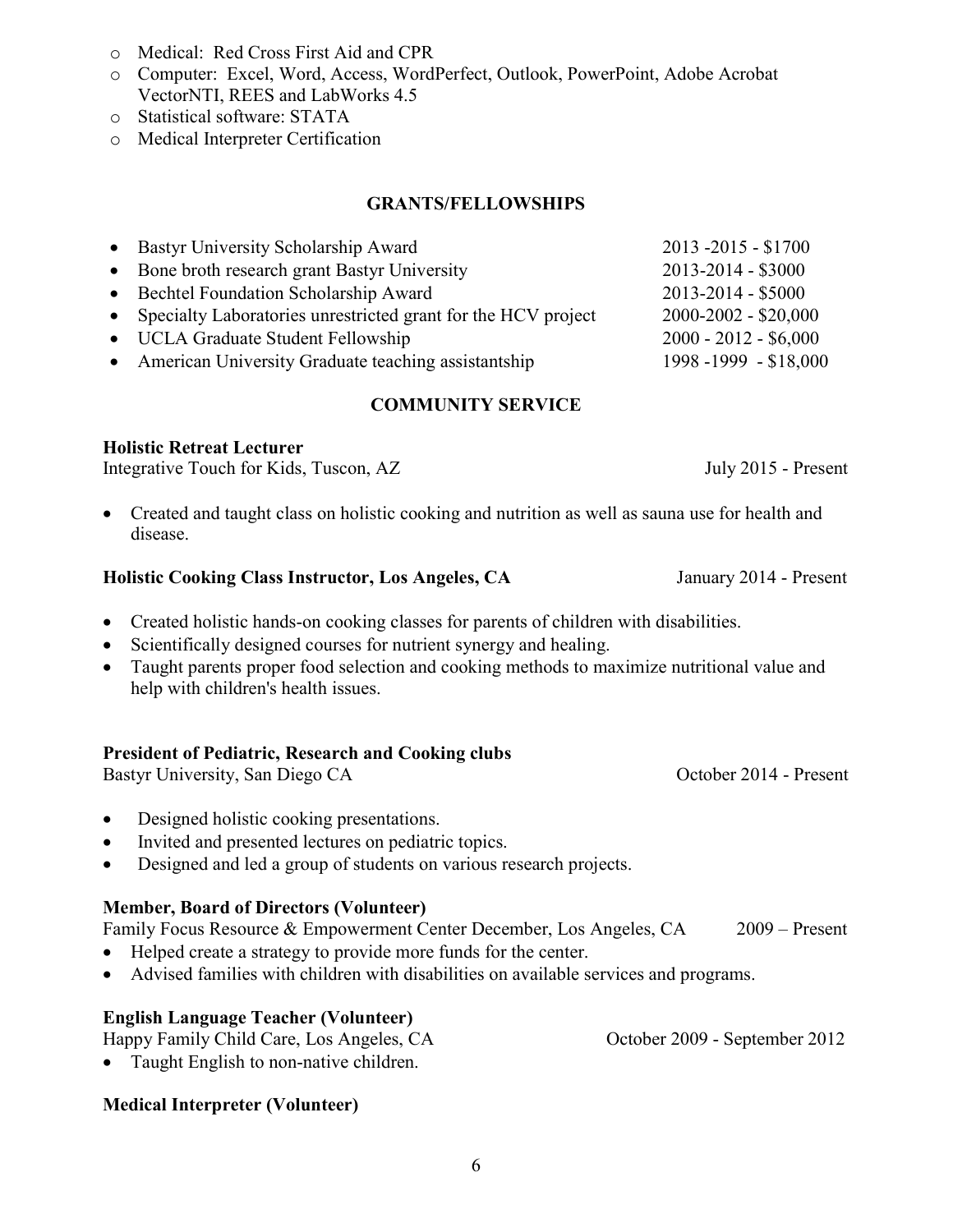- o Medical: Red Cross First Aid and CPR
- o Computer: Excel, Word, Access, WordPerfect, Outlook, PowerPoint, Adobe Acrobat VectorNTI, REES and LabWorks 4.5
- o Statistical software: STATA
- o Medical Interpreter Certification

### GRANTS/FELLOWSHIPS

| • Bastyr University Scholarship Award                           | $2013 - 2015 - $1700$  |
|-----------------------------------------------------------------|------------------------|
| • Bone broth research grant Bastyr University                   | 2013-2014 - \$3000     |
| • Bechtel Foundation Scholarship Award                          | $2013 - 2014 - $5000$  |
| • Specialty Laboratories unrestricted grant for the HCV project | 2000-2002 - \$20,000   |
| • UCLA Graduate Student Fellowship                              | $2000 - 2012 - $6,000$ |
| • American University Graduate teaching assistantship           | 1998 -1999 - \$18,000  |

# COMMUNITY SERVICE

### Holistic Retreat Lecturer

Integrative Touch for Kids, Tuscon, AZ July 2015 - Present

 Created and taught class on holistic cooking and nutrition as well as sauna use for health and disease.

### Holistic Cooking Class Instructor, Los Angeles, CA January 2014 - Present

- Created holistic hands-on cooking classes for parents of children with disabilities.
- Scientifically designed courses for nutrient synergy and healing.
- Taught parents proper food selection and cooking methods to maximize nutritional value and help with children's health issues.

# President of Pediatric, Research and Cooking clubs

Bastyr University, San Diego CA October 2014 - Present

- Designed holistic cooking presentations.
- Invited and presented lectures on pediatric topics.
- Designed and led a group of students on various research projects.

# Member, Board of Directors (Volunteer)

Family Focus Resource & Empowerment Center December, Los Angeles, CA 2009 – Present

- Helped create a strategy to provide more funds for the center.
- Advised families with children with disabilities on available services and programs.

# English Language Teacher (Volunteer)

Happy Family Child Care, Los Angeles, CA October 2009 - September 2012

• Taught English to non-native children.

# Medical Interpreter (Volunteer)

6